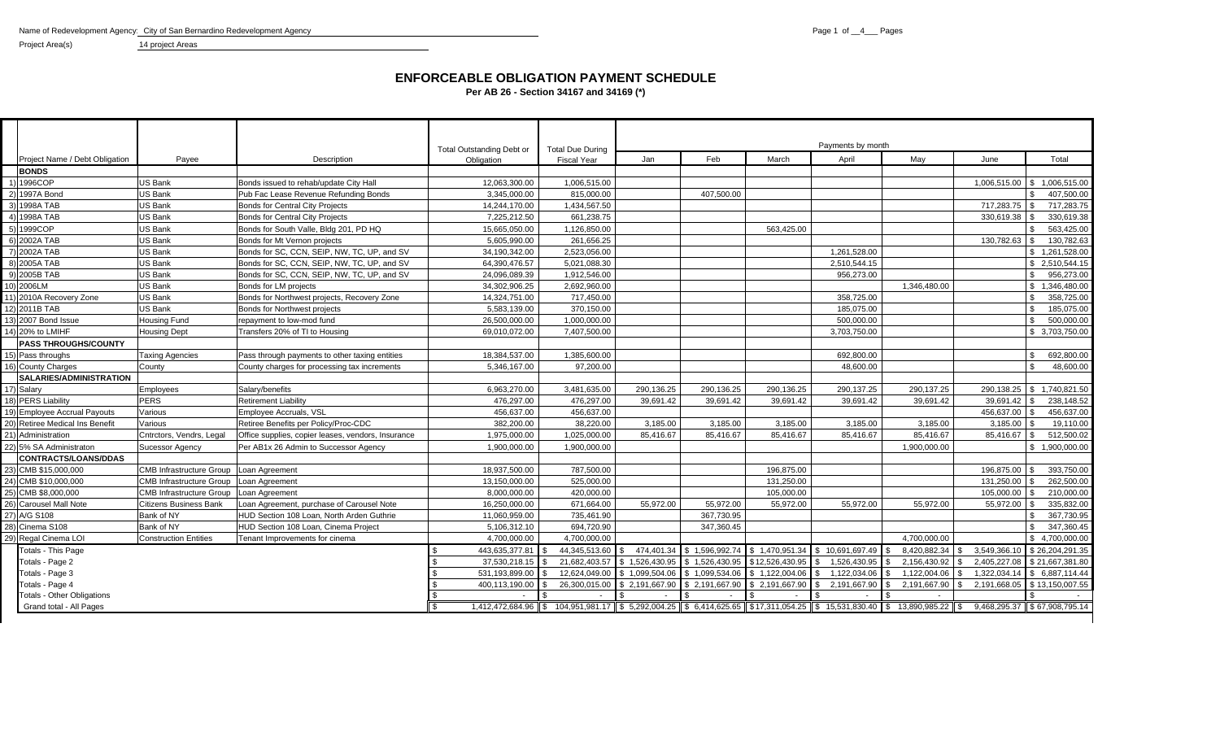Name of Redevelopment Agency: City of San Bernardino Redevelopment Agency **Page 1** of \_4\_\_ Pages 1 of \_4\_\_ Pages 1 of \_4\_\_ Pages 1 of \_4\_\_ Pages 1 of \_4\_\_ Pages 1 of \_4\_\_ Pages 1 of \_4\_\_ Pages 1 of agency **Page 1** of agenc

Project Area(s) 14 project Areas

#### **ENFORCEABLE OBLIGATION PAYMENT SCHEDULE Per AB 26 - Section 34167 and 34169 (\*)**

|                                   |                                           |                                                    | <b>Total Outstanding Debt or</b> | <b>Total Due During</b>                                                                                                                                  |                               |                |                 | Payments by month |                     |               |                              |
|-----------------------------------|-------------------------------------------|----------------------------------------------------|----------------------------------|----------------------------------------------------------------------------------------------------------------------------------------------------------|-------------------------------|----------------|-----------------|-------------------|---------------------|---------------|------------------------------|
| Project Name / Debt Obligation    | Payee                                     | Description                                        | Obligation                       | <b>Fiscal Year</b>                                                                                                                                       | Jan                           | Feb            | March           | April             | May                 | June          | Total                        |
| <b>BONDS</b>                      |                                           |                                                    |                                  |                                                                                                                                                          |                               |                |                 |                   |                     |               |                              |
| 1) 1996COP                        | US Bank                                   | Bonds issued to rehab/update City Hall             | 12.063.300.00                    | 1.006.515.00                                                                                                                                             |                               |                |                 |                   |                     |               | 1,006,515.00 \$ 1,006,515.00 |
| 2) 1997A Bond                     | US Bank                                   | Pub Fac Lease Revenue Refunding Bonds              | 3,345,000.00                     | 815,000.00                                                                                                                                               |                               | 407.500.00     |                 |                   |                     |               | 407,500.00<br>S.             |
| 3) 1998A TAB                      | US Bank                                   | <b>Bonds for Central City Projects</b>             | 14,244,170.00                    | 1.434.567.50                                                                                                                                             |                               |                |                 |                   |                     | 717,283.75 \$ | 717.283.75                   |
| 4) 1998A TAB                      | <b>US Bank</b>                            | <b>Bonds for Central City Projects</b>             | 7.225.212.50                     | 661,238.75                                                                                                                                               |                               |                |                 |                   |                     | 330,619.38    | 330.619.38                   |
| 5) 1999COP                        | US Bank                                   | Bonds for South Valle, Bldg 201, PD HQ             | 15,665,050.00                    | 1,126,850.00                                                                                                                                             |                               |                | 563,425.00      |                   |                     |               | 563,425.00<br>\$             |
| 6) 2002A TAB                      | US Bank                                   | Bonds for Mt Vernon projects                       | 5,605,990.00                     | 261,656.25                                                                                                                                               |                               |                |                 |                   |                     | 130,782.63    | 130.782.63                   |
| 7) 2002A TAB                      | US Bank                                   | Bonds for SC, CCN, SEIP, NW, TC, UP, and SV        | 34,190,342.00                    | 2,523,056.00                                                                                                                                             |                               |                |                 | 1,261,528.00      |                     |               | \$1,261,528.00               |
| 8) 2005A TAB                      | US Bank                                   | Bonds for SC, CCN, SEIP, NW, TC, UP, and SV        | 64,390,476.57                    | 5,021,088.30                                                                                                                                             |                               |                |                 | 2,510,544.15      |                     |               | \$2,510,544.15               |
| 9) 2005B TAB                      | US Bank                                   | Bonds for SC, CCN, SEIP, NW, TC, UP, and SV        | 24,096,089.39                    | 1,912,546.00                                                                                                                                             |                               |                |                 | 956,273.00        |                     |               | $\mathbb{S}$<br>956,273.00   |
| 10) 2006LM                        | <b>US Bank</b>                            | Bonds for LM projects                              | 34,302,906.25                    | 2,692,960.00                                                                                                                                             |                               |                |                 |                   | 1,346,480.00        |               | \$1,346,480.00               |
| 11) 2010A Recovery Zone           | <b>US Bank</b>                            | Bonds for Northwest projects, Recovery Zone        | 14,324,751.00                    | 717,450.00                                                                                                                                               |                               |                |                 | 358,725.00        |                     |               | $\mathbb{S}$<br>358,725.00   |
| 12) 2011 B TAB                    | US Bank                                   | Bonds for Northwest projects                       | 5,583,139.00                     | 370,150.00                                                                                                                                               |                               |                |                 | 185,075.00        |                     |               | 185,075.00<br>\$             |
| 13) 2007 Bond Issue               | Housing Fund                              | repayment to low-mod fund                          | 26.500.000.00                    | 1.000.000.00                                                                                                                                             |                               |                |                 | 500.000.00        |                     |               | 500,000.00                   |
| 4) 20% to LMIHF                   | <b>Housing Dept</b>                       | Transfers 20% of TI to Housing                     | 69,010,072.00                    | 7.407.500.00                                                                                                                                             |                               |                |                 | 3,703,750.00      |                     |               | \$ 3,703,750.00              |
| <b>PASS THROUGHS/COUNTY</b>       |                                           |                                                    |                                  |                                                                                                                                                          |                               |                |                 |                   |                     |               |                              |
| 15) Pass throughs                 | <b>Taxing Agencies</b>                    | Pass through payments to other taxing entities     | 18,384,537.00                    | 1,385,600.00                                                                                                                                             |                               |                |                 | 692.800.00        |                     |               | 692,800.00<br>\$             |
| 16) County Charges                | County                                    | County charges for processing tax increments       | 5,346,167.00                     | 97,200.00                                                                                                                                                |                               |                |                 | 48.600.00         |                     |               | 48,600.00                    |
| <b>SALARIES/ADMINISTRATION</b>    |                                           |                                                    |                                  |                                                                                                                                                          |                               |                |                 |                   |                     |               |                              |
| 17) Salary                        | Employees                                 | Salary/benefits                                    | 6,963,270.00                     | 3,481,635.00                                                                                                                                             | 290,136.25                    | 290,136.25     | 290,136.25      | 290,137.25        | 290,137.25          |               | 290,138.25   \$ 1,740,821.50 |
| 18) PERS Liability                | <b>PERS</b>                               | <b>Retirement Liability</b>                        | 476.297.00                       | 476.297.00                                                                                                                                               | 39,691.42                     | 39.691.42      | 39.691.42       | 39.691.42         | 39.691.42           |               | 238,148.52                   |
| 19) Employee Accrual Payouts      | Various                                   | Employee Accruals, VSL                             | 456,637.00                       | 456,637.00                                                                                                                                               |                               |                |                 |                   |                     | 456,637.00    | 456,637.00                   |
| 20) Retiree Medical Ins Benefit   | Various                                   | Retiree Benefits per Policy/Proc-CDC               | 382,200.00                       | 38,220.00                                                                                                                                                | 3,185.00                      | 3,185.00       | 3,185.00        | 3,185.00          | 3,185.00            | 3,185.00      | 19,110.00                    |
| 21) Administration                | Cntrctors, Vendrs, Legal                  | Office supplies, copier leases, vendors, Insurance | 1,975,000.00                     | 1,025,000.00                                                                                                                                             | 85,416.67                     | 85,416.67      | 85,416.67       | 85,416.67         | 85,416.67           | 85,416.67     | 512,500.02<br><b>S</b>       |
| 22) 5% SA Administraton           | Sucessor Agency                           | Per AB1x 26 Admin to Successor Agency              | 1,900,000.00                     | 1,900,000.00                                                                                                                                             |                               |                |                 |                   | 1,900,000.00        |               | \$1,900,000.00               |
| <b>CONTRACTS/LOANS/DDAS</b>       |                                           |                                                    |                                  |                                                                                                                                                          |                               |                |                 |                   |                     |               |                              |
| 23) CMB \$15,000,000              | CMB Infrastructure Group Loan Agreement   |                                                    | 18.937.500.00                    | 787.500.00                                                                                                                                               |                               |                | 196.875.00      |                   |                     | 196.875.00    | 393,750.00                   |
| 24) CMB \$10,000,000              | CMB Infrastructure Group   Loan Agreement |                                                    | 13.150.000.00                    | 525.000.00                                                                                                                                               |                               |                | 131.250.00      |                   |                     | 131.250.00    | 262.500.00                   |
| 25) CMB \$8,000,000               | <b>CMB Infrastructure Group</b>           | Loan Agreement                                     | 8,000,000.00                     | 420.000.00                                                                                                                                               |                               |                | 105.000.00      |                   |                     | 105.000.00    | 210.000.00                   |
| 26) Carousel Mall Note            | <b>Citizens Business Bank</b>             | Loan Agreement, purchase of Carousel Note          | 16,250,000.00                    | 671,664.00                                                                                                                                               | 55,972.00                     | 55,972.00      | 55,972.00       | 55,972.00         | 55,972.00           | 55,972.00     | 335,832.00                   |
| 27) A/G S108                      | Bank of NY                                | HUD Section 108 Loan, North Arden Guthrie          | 11,060,959.00                    | 735,461.90                                                                                                                                               |                               | 367,730.95     |                 |                   |                     |               | 367,730.95                   |
| 28) Cinema S108                   | Bank of NY                                | HUD Section 108 Loan, Cinema Project               | 5,106,312.10                     | 694.720.90                                                                                                                                               |                               | 347,360.45     |                 |                   |                     |               | 347,360.45<br>$\mathcal{L}$  |
| 29) Regal Cinema LOI              | <b>Construction Entities</b>              | <b>Tenant Improvements for cinema</b>              | 4,700,000.00                     | 4.700.000.00                                                                                                                                             |                               |                |                 |                   | 4.700.000.00        |               | \$4,700,000.00               |
| Totals - This Page                |                                           |                                                    | 443,635,377.81                   | 44,345,513.60 \$                                                                                                                                         | 474.401.34                    | \$1,596,992.74 | \$1.470.951.34  | \$10,691,697.49   | 8.420.882.34<br>. ድ | 3.549.366.10  | \$26,204,291.35              |
| Totals - Page 2                   |                                           |                                                    | 37,530,218.15                    |                                                                                                                                                          | 21,682,403.57 \$ 1,526,430.95 | \$1,526,430.95 | \$12,526,430.95 | 1,526,430.95      | 2,156,430.92        |               | 2,405,227.08 \$21,667,381.80 |
| Totals - Page 3                   |                                           |                                                    | 531,193,899.00                   |                                                                                                                                                          | 12,624,049.00 \$ 1,099,504.06 | \$1,099,534.06 | \$1.122.004.06  | 1,122,034.06      | 1,122,004.06        | 1,322,034.14  | \$ 6,887,114.44              |
| Totals - Page 4                   |                                           |                                                    | 400,113,190.00                   |                                                                                                                                                          | 26,300,015.00 \$2,191,667.90  | \$2,191,667.90 | \$2,191,667.90  | 2,191,667.90      | \$<br>2,191,667.90  |               | 2,191,668.05 \$13,150,007.55 |
| <b>Totals - Other Obligations</b> |                                           |                                                    |                                  |                                                                                                                                                          |                               |                |                 |                   |                     |               |                              |
| Grand total - All Pages           |                                           |                                                    | - \$                             | 1,412,472,684.96 \$ 104,951,981.17 \$ 5,292,004.25 \$ 6,414,625.65 \$ \$17,311,054.25 \$ 15,531,830.40 \$ 13,890,985.22 \$ 9,468,295.37 \$ 67,908,795.14 |                               |                |                 |                   |                     |               |                              |
|                                   |                                           |                                                    |                                  |                                                                                                                                                          |                               |                |                 |                   |                     |               |                              |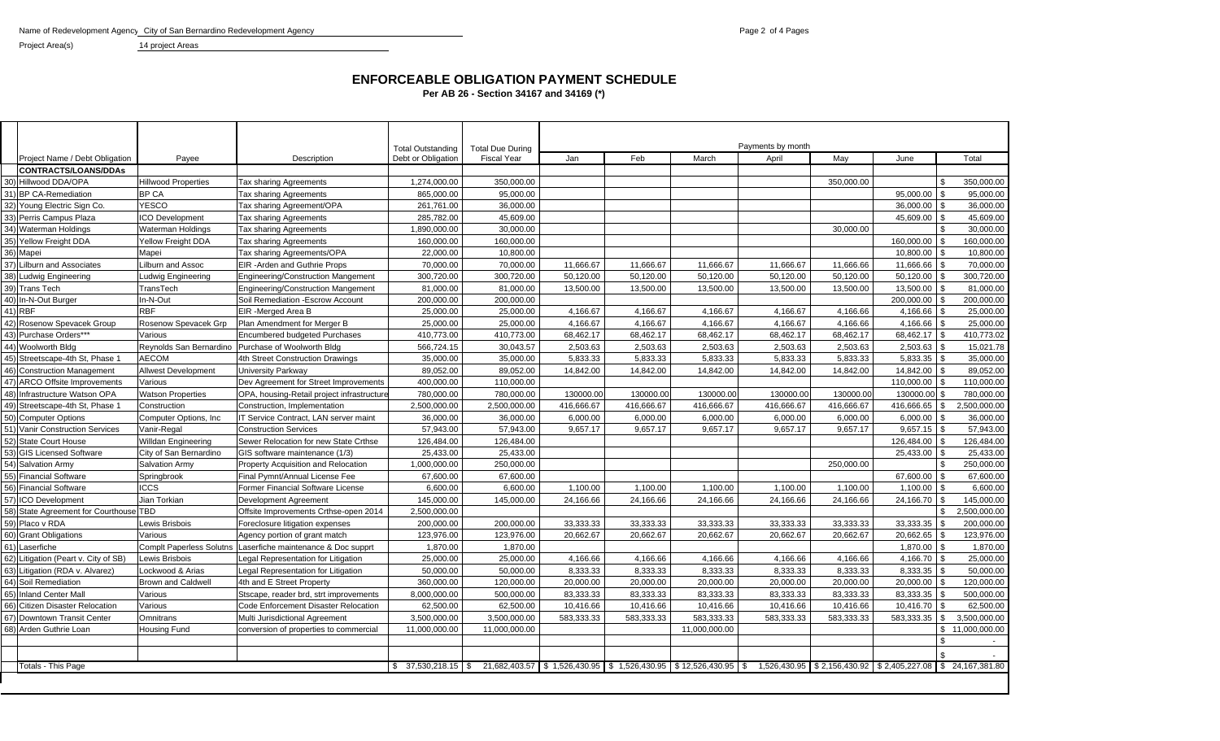Name of Redevelopment Agency City of San Bernardino Redevelopment Agency **Page 2 of 4 Pages** Page 2 of 4 Pages

Project Area(s) 14 project Areas

## **ENFORCEABLE OBLIGATION PAYMENT SCHEDULE**

**Per AB 26 - Section 34167 and 34169 (\*)**

|     |                                        |                                 |                                                    |                                                |                                                                                    | Payments by month |            |               |            |                             |                                |                 |
|-----|----------------------------------------|---------------------------------|----------------------------------------------------|------------------------------------------------|------------------------------------------------------------------------------------|-------------------|------------|---------------|------------|-----------------------------|--------------------------------|-----------------|
|     | Project Name / Debt Obligation         | Payee                           | Description                                        | <b>Total Outstanding</b><br>Debt or Obligation | <b>Total Due During</b><br><b>Fiscal Year</b>                                      | Jan               | Feb        | March         | April      | May                         | June                           | Total           |
|     | <b>CONTRACTS/LOANS/DDAs</b>            |                                 |                                                    |                                                |                                                                                    |                   |            |               |            |                             |                                |                 |
| 30) | Hillwood DDA/OPA                       | <b>Hillwood Properties</b>      | Tax sharing Agreements                             | 1,274,000.00                                   | 350.000.00                                                                         |                   |            |               |            | 350,000.00                  |                                | 350,000.00      |
| 31) | <b>BP CA-Remediation</b>               | <b>BP CA</b>                    | Tax sharing Agreements                             | 865,000.00                                     | 95,000.00                                                                          |                   |            |               |            |                             | 95,000.00 \$                   | 95,000.00       |
|     | 32) Young Electric Sign Co.            | <b>YESCO</b>                    | Tax sharing Agreement/OPA                          | 261,761.00                                     | 36,000.00                                                                          |                   |            |               |            |                             | $36,000.00$ \$                 | 36,000.00       |
| 33) | Perris Campus Plaza                    | <b>ICO Development</b>          | Tax sharing Agreements                             | 285,782.00                                     | 45,609.00                                                                          |                   |            |               |            |                             | 45,609.00 \$                   | 45,609.00       |
| 34) | <b>Waterman Holdings</b>               | Waterman Holdings               | Tax sharing Agreements                             | 1,890,000.00                                   | 30,000.00                                                                          |                   |            |               |            | 30,000.00                   |                                | 30,000.00       |
| 35) | <b>Yellow Freight DDA</b>              | Yellow Freight DDA              | Tax sharing Agreements                             | 160.000.00                                     | 160.000.00                                                                         |                   |            |               |            |                             | 160.000.00 \$                  | 160.000.00      |
| 36) | Mapei                                  | Mapei                           | Tax sharing Agreements/OPA                         | 22,000.00                                      | 10,800.00                                                                          |                   |            |               |            |                             | 10,800.00                      | 10,800.00       |
| 37) | <b>Lilburn and Associates</b>          | Lilburn and Assoc               | <b>EIR -Arden and Guthrie Props</b>                | 70,000.00                                      | 70,000.00                                                                          | 11,666.67         | 11,666.67  | 11,666.67     | 11,666.67  | 11,666.66                   | 11,666.66                      | 70,000.00       |
| 38) | Ludwig Engineering                     | Ludwig Engineering              | Engineering/Construction Mangement                 | 300,720.00                                     | 300,720.00                                                                         | 50,120.00         | 50,120.00  | 50,120.00     | 50,120.00  | 50,120.00                   | $50,120.00$ \\$                | 300,720.00      |
|     | 39) Trans Tech                         | TransTech                       | <b>Engineering/Construction Mangement</b>          | 81,000.00                                      | 81,000.00                                                                          | 13,500.00         | 13.500.00  | 13,500.00     | 13,500.00  | 13,500.00                   | 13,500.00 \$                   | 81,000.00       |
| 40) | In-N-Out Burger                        | In-N-Out                        | Soil Remediation - Escrow Account                  | 200,000.00                                     | 200,000.00                                                                         |                   |            |               |            |                             | 200,000.00 \$                  | 200,000.00      |
| 41) | <b>RBF</b>                             | <b>RBF</b>                      | EIR - Merged Area B                                | 25,000.00                                      | 25,000.00                                                                          | 4,166.67          | 4,166.67   | 4,166.67      | 4,166.67   | 4,166.66                    | 4,166.66 \$                    | 25,000.00       |
| 42) | Rosenow Spevacek Group                 | Rosenow Spevacek Grp            | Plan Amendment for Merger B                        | 25,000.00                                      | 25,000.00                                                                          | 4,166.67          | 4.166.67   | 4.166.67      | 4.166.67   | 4.166.66                    | 4,166.66                       | 25,000.00       |
| 43) | Purchase Orders***                     | Various                         | Encumbered budgeted Purchases                      | 410,773.00                                     | 410,773.00                                                                         | 68,462.17         | 68,462.17  | 68,462.17     | 68,462.17  | 68,462.17                   | 68,462.17 \$                   | 410,773.02      |
|     | 44) Woolworth Bldg                     |                                 | Reynolds San Bernardino Purchase of Woolworth Bldg | 566,724.15                                     | 30,043.57                                                                          | 2,503.63          | 2,503.63   | 2,503.63      | 2,503.63   | 2,503.63                    | $2,503.63$ \$                  | 15,021.78       |
|     | 45) Streetscape-4th St, Phase 1        | <b>AECOM</b>                    | 4th Street Construction Drawings                   | 35,000.00                                      | 35,000.00                                                                          | 5,833.33          | 5.833.33   | 5.833.33      | 5.833.33   | 5.833.33                    | $5,833.35$ \$                  | 35,000.00       |
|     | 46) Construction Management            | <b>Allwest Development</b>      | University Parkway                                 | 89,052.00                                      | 89,052.00                                                                          | 14,842.00         | 14.842.00  | 14,842.00     | 14,842.00  | 14,842.00                   | 14,842.00 \$                   | 89,052.00       |
| 47) | <b>ARCO Offsite Improvements</b>       | Various                         | Dev Agreement for Street Improvements              | 400,000.00                                     | 110,000.00                                                                         |                   |            |               |            |                             | 110,000.00                     | 110,000.00      |
| 48) | Infrastructure Watson OPA              | <b>Watson Properties</b>        | OPA, housing-Retail project infrastructure         | 780,000.00                                     | 780,000.00                                                                         | 130000.00         | 130000.00  | 130000.00     | 130000.00  | 130000.00                   | 130000.00 \$                   | 780,000.00      |
| 49) | Streetscape-4th St, Phase 1            | Construction                    | Construction, Implementation                       | 2,500,000.00                                   | 2,500,000.00                                                                       | 416,666.67        | 416,666.67 | 416,666.67    | 416,666.67 | 416,666.67                  | 416,666.65                     | 2,500,000.00    |
| 50) | <b>Computer Options</b>                | Computer Options, Inc           | IT Service Contract, LAN server maint              | 36,000.00                                      | 36,000.00                                                                          | 6,000.00          | 6,000.00   | 6,000.00      | 6,000.00   | 6,000.00                    | $6,000.00$ \$                  | 36,000.00       |
|     | 51) Vanir Construction Services        | Vanir-Regal                     | <b>Construction Services</b>                       | 57,943.00                                      | 57,943.00                                                                          | 9,657.17          | 9,657.17   | 9,657.17      | 9,657.17   | 9,657.17                    | $9,657.15$ \$                  | 57,943.00       |
| 52) | <b>State Court House</b>               | Willdan Engineering             | Sewer Relocation for new State Crthse              | 126,484.00                                     | 126,484.00                                                                         |                   |            |               |            |                             | 126,484.00 \$                  | 126,484.00      |
|     | 53) GIS Licensed Software              | City of San Bernardino          | GIS software maintenance (1/3)                     | 25,433.00                                      | 25,433.00                                                                          |                   |            |               |            |                             | 25,433.00                      | 25,433.00       |
|     | 54) Salvation Army                     | <b>Salvation Army</b>           | Property Acquisition and Relocation                | 1,000,000.00                                   | 250,000.00                                                                         |                   |            |               |            | 250,000.00                  |                                | 250,000.00      |
| 55) | <b>Financial Software</b>              | Springbrook                     | Final Pymnt/Annual License Fee                     | 67,600.00                                      | 67,600.00                                                                          |                   |            |               |            |                             | 67,600.00                      | 67,600.00       |
| 56) | <b>Financial Software</b>              | ICCS                            | Former Financial Software License                  | 6,600.00                                       | 6,600.00                                                                           | 1,100.00          | 1,100.00   | 1,100.00      | 1,100.00   | 1,100.00                    | 1,100.00                       | 6,600.00        |
| 57) | <b>ICO Development</b>                 | Jian Torkian                    | <b>Development Agreement</b>                       | 145.000.00                                     | 145,000.00                                                                         | 24,166.66         | 24,166.66  | 24,166.66     | 24,166.66  | 24,166.66                   | 24,166.70 \$                   | 145,000.00      |
|     | 58) State Agreement for Courthouse TBD |                                 | Offsite Improvements Crthse-open 2014              | 2,500,000.00                                   |                                                                                    |                   |            |               |            |                             | \$                             | 2,500,000.00    |
|     | 59) Placo v RDA                        | Lewis Brisbois                  | Foreclosure litigation expenses                    | 200,000.00                                     | 200,000.00                                                                         | 33,333.33         | 33,333.33  | 33,333.33     | 33,333.33  | 33,333.33                   | $33,333.35$ \$                 | 200,000.00      |
|     | 60) Grant Obligations                  | Various                         | Agency portion of grant match                      | 123,976.00                                     | 123,976.00                                                                         | 20,662.67         | 20,662.67  | 20,662.67     | 20,662.67  | 20,662.67                   | $20,662.65$ \$                 | 123,976.00      |
| 61) | Laserfiche                             | <b>Complt Paperless Solutns</b> | Laserfiche maintenance & Doc supprt                | 1,870.00                                       | 1,870.00                                                                           |                   |            |               |            |                             | 1,870.00 \$                    | 1,870.00        |
| 62) | Litigation (Peart v. City of SB)       | Lewis Brisbois                  | Legal Representation for Litigation                | 25,000.00                                      | 25,000.00                                                                          | 4,166.66          | 4,166.66   | 4,166.66      | 4,166.66   | 4,166.66                    | 4,166.70 \$                    | 25,000.00       |
| 63) | Litigation (RDA v. Alvarez)            | Lockwood & Arias                | Legal Representation for Litigation                | 50,000.00                                      | 50,000.00                                                                          | 8,333.33          | 8,333.33   | 8,333.33      | 8,333.33   | 8,333.33                    | $8,333.35$ \$                  | 50,000.00       |
|     | 64) Soil Remediation                   | <b>Brown and Caldwell</b>       | 4th and E Street Property                          | 360,000.00                                     | 120,000.00                                                                         | 20,000.00         | 20,000.00  | 20,000.00     | 20,000.00  | 20,000.00                   | $20,000.00$ \\$                | 120,000.00      |
| 65) | <b>Inland Center Mall</b>              | Various                         | Stscape, reader brd, strt improvements             | 8,000,000.00                                   | 500,000.00                                                                         | 83,333.33         | 83,333.33  | 83,333.33     | 83,333.33  | 83,333.33                   | 83,333.35 \$                   | 500,000.00      |
| 66) | <b>Citizen Disaster Relocation</b>     | Various                         | Code Enforcement Disaster Relocation               | 62,500.00                                      | 62,500.00                                                                          | 10,416.66         | 10,416.66  | 10,416.66     | 10,416.66  | 10,416.66                   | 10,416.70<br>l \$              | 62,500.00       |
| 67) | Downtown Transit Center                | Omnitrans                       | Multi Jurisdictional Agreement                     | 3,500,000.00                                   | 3,500,000.00                                                                       | 583,333.33        | 583,333.33 | 583,333.33    | 583,333.33 | 583,333.33                  | 583,333.35<br>\$               | 3,500,000.00    |
| 68) | Arden Guthrie Loan                     | <b>Housing Fund</b>             | conversion of properties to commercial             | 11,000,000.00                                  | 11,000,000.00                                                                      |                   |            | 11,000,000.00 |            |                             |                                | \$11,000,000.00 |
|     |                                        |                                 |                                                    |                                                |                                                                                    |                   |            |               |            |                             |                                | $\sim$          |
|     |                                        |                                 |                                                    |                                                |                                                                                    |                   |            |               |            |                             |                                |                 |
|     | <b>Totals - This Page</b>              |                                 |                                                    |                                                | $$37,530,218.15$ $$21,682,403.57$ $$1,526,430.95$ $$1,526,430.95$ $$12,526,430.95$ |                   |            |               | l \$       | 1,526,430.95 \$2,156,430.92 | \$2,405,227.08 \$24,167,381.80 |                 |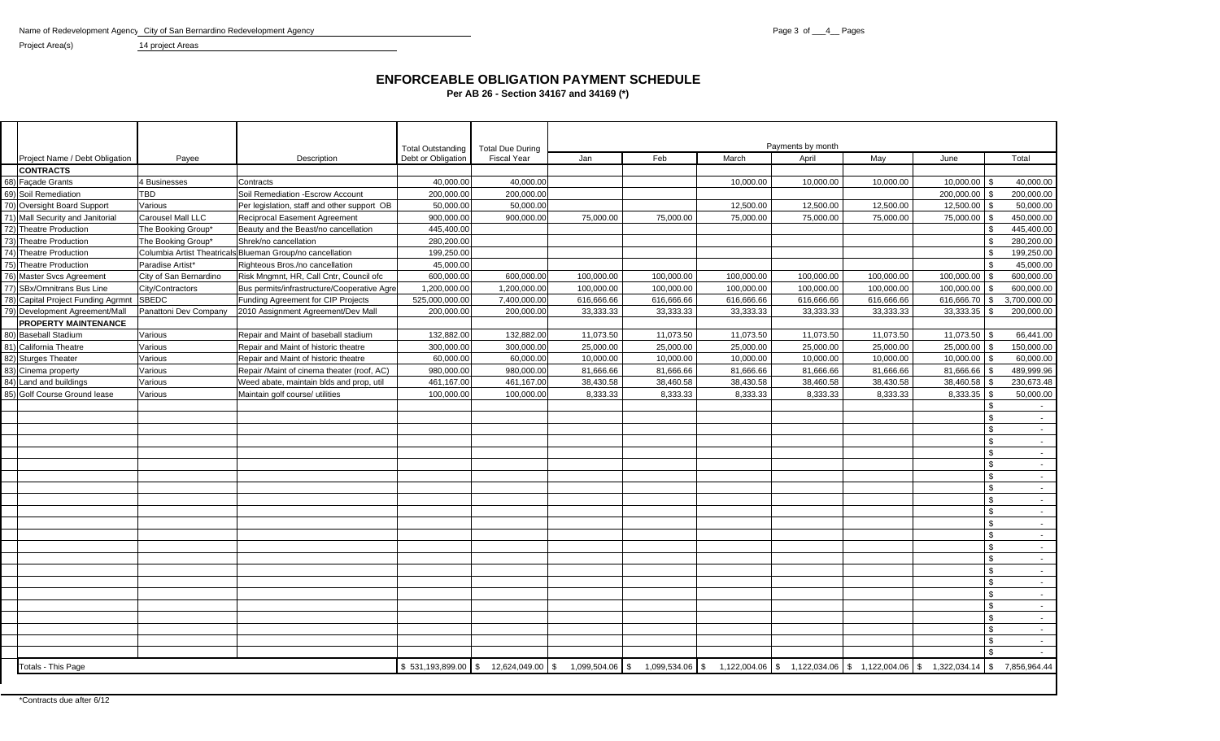Name of Redevelopment Agency City of San Bernardino Redevelopment Agency 14 project Areas

Project Area(s)

## **ENFORCEABLE OBLIGATION PAYMENT SCHEDULE** Per AB 26 - Section 34167 and 34169 (\*)

|                                    |                            |                                             | <b>Total Outstanding</b> | <b>Total Due During</b> |                       |              | Payments by month |            |                                                 |               |                                            |
|------------------------------------|----------------------------|---------------------------------------------|--------------------------|-------------------------|-----------------------|--------------|-------------------|------------|-------------------------------------------------|---------------|--------------------------------------------|
| Project Name / Debt Obligation     | Payee                      | Description                                 | Debt or Obligation       | <b>Fiscal Year</b>      | Jan                   | Feb          | March             | April      | May                                             | June          | Total                                      |
| <b>CONTRACTS</b>                   |                            |                                             |                          |                         |                       |              |                   |            |                                                 |               |                                            |
| 68) Façade Grants                  | 4 Businesses               | Contracts                                   | 40,000.00                | 40,000.00               |                       |              | 10,000.00         | 10,000.00  | 10,000.00                                       | 10,000.00     | 40,000.00                                  |
| 69) Soil Remediation               | TBD                        | Soil Remediation - Escrow Account           | 200,000.00               | 200,000.00              |                       |              |                   |            |                                                 | 200,000.00    | 200,000.00<br>\$                           |
| 70) Oversight Board Support        | Various                    | Per legislation, staff and other support OB | 50,000.00                | 50,000.00               |                       |              | 12,500.00         | 12,500.00  | 12,500.00                                       | 12,500.00     | 50,000.00                                  |
| 71) Mall Security and Janitorial   | Carousel Mall LLC          | <b>Reciprocal Easement Agreement</b>        | 900,000.00               | 900,000.00              | 75,000.00             | 75,000.00    | 75,000.00         | 75,000.00  | 75,000.00                                       | 75,000.00     | 450,000.00                                 |
| 72) Theatre Production             | The Booking Group*         | Beauty and the Beast/no cancellation        | 445,400.00               |                         |                       |              |                   |            |                                                 |               | 445,400.00<br>\$                           |
| 73) Theatre Production             | The Booking Group*         | Shrek/no cancellation                       | 280,200.00               |                         |                       |              |                   |            |                                                 |               | 280,200.00<br>$\mathbb{S}$                 |
| 74) Theatre Production             | Columbia Artist Theatrical | Blueman Group/no cancellation               | 199,250.00               |                         |                       |              |                   |            |                                                 |               | 199,250.00<br>. ድ                          |
| 75) Theatre Production             | Paradise Artist*           | Righteous Bros./no cancellation             | 45,000.00                |                         |                       |              |                   |            |                                                 |               | 45,000.00<br>\$                            |
| 76) Master Svcs Agreement          | City of San Bernardino     | Risk Mngmnt, HR, Call Cntr, Council ofc     | 600,000.00               | 600,000.00              | 100,000.00            | 100,000.00   | 100,000.00        | 100,000.00 | 100,000.00                                      | 100,000.00    | 600,000.00<br>\$                           |
| SBx/Omnitrans Bus Line<br>77)      | City/Contractors           | Bus permits/infrastructure/Cooperative Agre | 1.200.000.00             | 1,200,000.00            | 100,000.00            | 100.000.00   | 100,000.00        | 100.000.00 | 100,000.00                                      | 100,000.00    | 600.000.00                                 |
| 78) Capital Project Funding Agrmnt | <b>SBEDC</b>               | Funding Agreement for CIP Projects          | 525,000,000.00           | 7,400,000.00            | 616,666.66            | 616,666.66   | 616,666.66        | 616,666.66 | 616,666.66                                      | 616,666.70 \$ | 3,700,000.00                               |
| 79) Development Agreement/Mall     | Panattoni Dev Company      | 2010 Assignment Agreement/Dev Mall          | 200,000.00               | 200,000.00              | 33,333.33             | 33,333.33    | 33,333.33         | 33,333.33  | 33,333.33                                       | 33,333.35     | 200,000.00<br><b>S</b>                     |
| <b>PROPERTY MAINTENANCE</b>        |                            |                                             |                          |                         |                       |              |                   |            |                                                 |               |                                            |
| 80) Baseball Stadium               | Various                    | Repair and Maint of baseball stadium        | 132,882.00               | 132,882.00              | 11,073.50             | 11,073.50    | 11,073.50         | 11,073.50  | 11,073.50                                       | 11,073.50     | 66,441.00<br>- \$                          |
| 81) California Theatre             | Various                    | Repair and Maint of historic theatre        | 300,000.00               | 300,000.00              | 25,000.00             | 25,000.00    | 25,000.00         | 25,000.00  | 25,000.00                                       | 25,000.00     | 150,000.00<br>- \$                         |
| 82) Sturges Theater                | Various                    | Repair and Maint of historic theatre        | 60,000.00                | 60,000.00               | 10,000.00             | 10,000.00    | 10,000.00         | 10,000.00  | 10,000.00                                       | 10,000.00     | 60,000.00<br>\$                            |
| 83)<br>Cinema property             | Various                    | Repair /Maint of cinema theater (roof, AC)  | 980,000.00               | 980,000.00              | 81,666.66             | 81,666.66    | 81,666.66         | 81,666.66  | 81,666.66                                       | 81,666.66     | 489,999.96                                 |
| 84) Land and buildings             | Various                    | Weed abate, maintain blds and prop, util    | 461,167.00               | 461,167.00              | 38,430.58             | 38,460.58    | 38,430.58         | 38,460.58  | 38,430.58                                       | 38,460.58     | 230,673.48<br>\$                           |
| 85) Golf Course Ground lease       | Various                    | Maintain golf course/ utilities             | 100,000.00               | 100,000.00              | 8,333.33              | 8,333.33     | 8,333.33          | 8,333.33   | 8,333.33                                        | 8,333.35      | 50,000.00<br>- \$                          |
|                                    |                            |                                             |                          |                         |                       |              |                   |            |                                                 |               | $\mathfrak{L}$<br>$\overline{\phantom{a}}$ |
|                                    |                            |                                             |                          |                         |                       |              |                   |            |                                                 |               | $\mathfrak{L}$<br>$\sim$                   |
|                                    |                            |                                             |                          |                         |                       |              |                   |            |                                                 |               | $\mathbf{\hat{S}}$<br>$\sim$               |
|                                    |                            |                                             |                          |                         |                       |              |                   |            |                                                 |               | \$<br>$\sim$                               |
|                                    |                            |                                             |                          |                         |                       |              |                   |            |                                                 |               | \$<br>$\sim$                               |
|                                    |                            |                                             |                          |                         |                       |              |                   |            |                                                 |               | $\mathbf{s}$<br>$\sim$ $-$                 |
|                                    |                            |                                             |                          |                         |                       |              |                   |            |                                                 |               | $\mathfrak{L}$<br>$\sim$                   |
|                                    |                            |                                             |                          |                         |                       |              |                   |            |                                                 |               | \$<br>$\sim$                               |
|                                    |                            |                                             |                          |                         |                       |              |                   |            |                                                 |               | $\mathbf{s}$<br>$\sim$                     |
|                                    |                            |                                             |                          |                         |                       |              |                   |            |                                                 |               | $\mathbf{s}$<br>$\sim$                     |
|                                    |                            |                                             |                          |                         |                       |              |                   |            |                                                 |               | $\mathfrak{L}$<br>$\sim$                   |
|                                    |                            |                                             |                          |                         |                       |              |                   |            |                                                 |               | $\mathbb{S}$<br>$\sim 10^{-1}$             |
|                                    |                            |                                             |                          |                         |                       |              |                   |            |                                                 |               | $\mathbf{s}$<br>$\sim$                     |
|                                    |                            |                                             |                          |                         |                       |              |                   |            |                                                 |               | $\mathbf{\hat{S}}$<br>$\sim$               |
|                                    |                            |                                             |                          |                         |                       |              |                   |            |                                                 |               | $\mathbb{S}$<br>$\sim$                     |
|                                    |                            |                                             |                          |                         |                       |              |                   |            |                                                 |               | \$<br>$\sim$                               |
|                                    |                            |                                             |                          |                         |                       |              |                   |            |                                                 |               | $\mathfrak{L}$<br>$\sim$                   |
|                                    |                            |                                             |                          |                         |                       |              |                   |            |                                                 |               | \$<br>$\sim$                               |
|                                    |                            |                                             |                          |                         |                       |              |                   |            |                                                 |               | $\mathbb{S}$<br>$\sim$ $-$                 |
|                                    |                            |                                             |                          |                         |                       |              |                   |            |                                                 |               | $\mathfrak{L}$<br>$\sim$                   |
|                                    |                            |                                             |                          |                         |                       |              |                   |            |                                                 |               | ፍ<br>$\sim$                                |
|                                    |                            |                                             |                          |                         |                       |              |                   |            |                                                 |               | . ድ                                        |
| Totals - This Page                 |                            |                                             | \$531,193,899.00         | -S<br>12,624,049.00     | \$<br>1,099,504.06 \$ | 1,099,534.06 | l \$              |            | 1,122,004.06 \$ 1,122,034.06 \$ 1,122,004.06 \$ | 1,322,034.14  | 7,856,964.44<br>\$                         |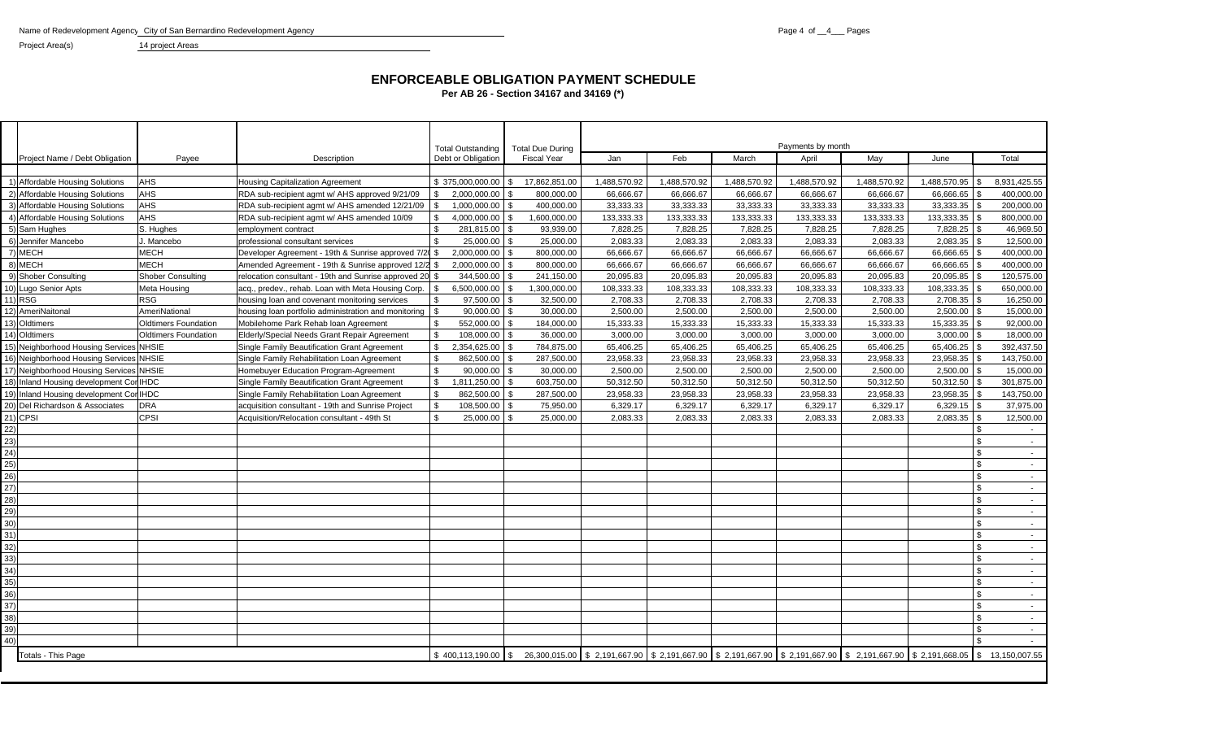Name of Redevelopment Agency City of San Bernardino Redevelopment Agency **Pages** Page 4 of \_4\_\_ Pages

Project Area(s) 14 project Areas

## **ENFORCEABLE OBLIGATION PAYMENT SCHEDULEPer AB 26 - Section 34167 and 34169 (\*)**

|      |                                         |                             |                                                                    | <b>Total Outstanding</b>        | <b>Total Due During</b> |                                                                                                         |              |              | Payments by month |              |              |                  |
|------|-----------------------------------------|-----------------------------|--------------------------------------------------------------------|---------------------------------|-------------------------|---------------------------------------------------------------------------------------------------------|--------------|--------------|-------------------|--------------|--------------|------------------|
|      | Project Name / Debt Obligation          | Payee                       | Description                                                        | Debt or Obligation              | <b>Fiscal Year</b>      | Jan                                                                                                     | Feb          | March        | April             | May          | June         | Total            |
|      | 1) Affordable Housing Solutions         | AHS                         | <b>Housing Capitalization Agreement</b>                            | $$375,000,000.00$ \\$           | 17,862,851.00           | 1,488,570.92                                                                                            | 1,488,570.92 | 1.488.570.92 | 1,488,570.92      | 1,488,570.92 | 1,488,570.95 | 8,931,425.55     |
|      | 2) Affordable Housing Solutions         | <b>AHS</b>                  | RDA sub-recipient agmt w/ AHS approved 9/21/09                     | 2,000,000.00<br>\$              | 800,000.00              | 66,666.67                                                                                               | 66,666.67    | 66,666.67    | 66,666.67         | 66,666.67    | 66,666.65    | 400,000.00       |
|      | 3) Affordable Housing Solutions         | <b>AHS</b>                  | RDA sub-recipient agmt w/ AHS amended 12/21/09                     | 1,000,000.00 \$<br>\$           | 400,000.00              | 33,333.33                                                                                               | 33,333.33    | 33,333.33    | 33,333.33         | 33,333.33    | 33,333.35    | 200,000.00       |
|      | 4) Affordable Housing Solutions         | <b>AHS</b>                  | RDA sub-recipient agmt w/ AHS amended 10/09                        | 4.000.000.00 \$<br>$\mathbb{S}$ | 1,600,000.00            | 133,333.33                                                                                              | 133,333.33   | 133,333.33   | 133,333.33        | 133,333.33   | 133,333.35   | 800,000.00       |
|      | 5) Sam Hughes                           | S. Hughes                   | employment contract                                                | 281,815.00 \$                   | 93,939.00               | 7,828.25                                                                                                | 7,828.25     | 7,828.25     | 7,828.25          | 7,828.25     | 7,828.25     | 46,969.50        |
|      | 6) Jennifer Mancebo                     | J. Mancebo                  | professional consultant services                                   | \$<br>25,000.00 \$              | 25,000.00               | 2,083.33                                                                                                | 2,083.33     | 2,083.33     | 2,083.33          | 2,083.33     | 2,083.35     | 12,500.00        |
|      | 7) MECH                                 | <b>MECH</b>                 | Developer Agreement - 19th & Sunrise approved 7/20                 | 2.000.000.00<br>\$              | 800.000.00              | 66.666.67                                                                                               | 66.666.67    | 66.666.67    | 66.666.67         | 66.666.67    | 66.666.65    | 400,000.00       |
|      | 8) MECH                                 | <b>MECH</b>                 | Amended Agreement - 19th & Sunrise approved 12/2                   | 2,000,000.00 \$<br>S.           | 800,000.00              | 66,666.67                                                                                               | 66,666.67    | 66,666.67    | 66,666.67         | 66,666.67    | 66,666.65    | 400,000.00       |
|      | 9) Shober Consulting                    | <b>Shober Consulting</b>    | relocation consultant - 19th and Sunrise approved 20 $\frac{1}{2}$ | 344,500.00 \$                   | 241,150.00              | 20,095.83                                                                                               | 20,095.83    | 20,095.83    | 20,095.83         | 20,095.83    | 20,095.85    | 120,575.00       |
|      | 10) Lugo Senior Apts                    | Meta Housing                | acq., predev., rehab. Loan with Meta Housing Corp.                 | $6.500.000.00$ \ \$<br>\$       | 1.300.000.00            | 108.333.33                                                                                              | 108.333.33   | 108.333.33   | 108.333.33        | 108.333.33   | 108.333.35   | 650,000.00       |
|      | 11) RSG                                 | <b>RSG</b>                  | housing loan and covenant monitoring services                      | \$<br>97,500.00 \$              | 32,500.00               | 2,708.33                                                                                                | 2,708.33     | 2,708.33     | 2,708.33          | 2,708.33     | 2,708.35     | 16,250.00        |
|      | 12) AmeriNaitonal                       | <b>AmeriNational</b>        | housing loan portfolio administration and monitoring               | \$<br>$90,000.00$ \$            | 30,000.00               | 2,500.00                                                                                                | 2,500.00     | 2,500.00     | 2,500.00          | 2,500.00     | 2,500.00     | 15,000.00        |
|      | 13) Oldtimers                           | <b>Oldtimers Foundation</b> | Mobilehome Park Rehab Ioan Agreement                               | 552,000.00 \$<br>\$             | 184,000.00              | 15,333.33                                                                                               | 15,333.33    | 15,333.33    | 15,333.33         | 15,333.33    | 15,333.35    | 92,000.00        |
|      | 14) Oldtimers                           | <b>Oldtimers Foundation</b> | Elderly/Special Needs Grant Repair Agreement                       | \$<br>108,000.00 \$             | 36,000.00               | 3,000.00                                                                                                | 3,000.00     | 3,000.00     | 3,000.00          | 3,000.00     | 3,000.00     | 18,000.00        |
|      | 15) Neighborhood Housing Services NHSIE |                             | Single Family Beautification Grant Agreement                       | 2,354,625.00<br>\$              | 784,875.00              | 65,406.25                                                                                               | 65,406.25    | 65,406.25    | 65,406.25         | 65,406.25    | 65,406.25    | 392,437.50       |
|      | 16) Neighborhood Housing Services NHSIE |                             | Single Family Rehabilitation Loan Agreement                        | \$<br>862.500.00 \$             | 287,500.00              | 23,958.33                                                                                               | 23.958.33    | 23.958.33    | 23,958.33         | 23.958.33    | 23,958.35    | 143,750.00       |
|      | 17) Neighborhood Housing Services NHSIE |                             | Homebuyer Education Program-Agreement                              | $\mathbb{S}$<br>$90,000.00$ \$  | 30,000.00               | 2,500.00                                                                                                | 2,500.00     | 2.500.00     | 2,500.00          | 2,500.00     | 2,500.00     | 15,000.00        |
|      | 18) Inland Housing development Co       | <b>IHDC</b>                 | Single Family Beautification Grant Agreement                       | $\mathbb{S}$<br>1,811,250.00 \$ | 603,750.00              | 50,312.50                                                                                               | 50,312.50    | 50,312.50    | 50,312.50         | 50,312.50    | 50,312.50    | 301,875.00       |
|      | 19) Inland Housing development Cor IHDC |                             | Single Family Rehabilitation Loan Agreement                        | \$<br>862,500.00 \$             | 287,500.00              | 23,958.33                                                                                               | 23,958.33    | 23,958.33    | 23,958.33         | 23,958.33    | 23,958.35    | 143,750.00       |
|      | 20) Del Richardson & Associates         | <b>DRA</b>                  | acquisition consultant - 19th and Sunrise Project                  | \$<br>108,500.00 \$             | 75,950.00               | 6,329.17                                                                                                | 6,329.17     | 6,329.17     | 6,329.17          | 6,329.17     | 6,329.15     | 37,975.00        |
|      | 21) CPSI                                | CPSI                        | Acquisition/Relocation consultant - 49th St                        | \$<br>25,000.00                 | 25,000.00               | 2,083.33                                                                                                | 2,083.33     | 2,083.33     | 2,083.33          | 2,083.33     | 2,083.35     | 12,500.00        |
| 22)  |                                         |                             |                                                                    |                                 |                         |                                                                                                         |              |              |                   |              |              | $\sim$           |
| 23)  |                                         |                             |                                                                    |                                 |                         |                                                                                                         |              |              |                   |              |              | $\sim$           |
| (24) |                                         |                             |                                                                    |                                 |                         |                                                                                                         |              |              |                   |              |              | \$<br>$\sim$     |
| 25)  |                                         |                             |                                                                    |                                 |                         |                                                                                                         |              |              |                   |              |              | $\sim$           |
| 26)  |                                         |                             |                                                                    |                                 |                         |                                                                                                         |              |              |                   |              |              | \$<br>$\sim$     |
| 27)  |                                         |                             |                                                                    |                                 |                         |                                                                                                         |              |              |                   |              |              | ፍ<br>$\sim$      |
| 28)  |                                         |                             |                                                                    |                                 |                         |                                                                                                         |              |              |                   |              |              | \$.<br>$\sim$    |
| 29)  |                                         |                             |                                                                    |                                 |                         |                                                                                                         |              |              |                   |              |              | \$.<br>$\sim$    |
| 30)  |                                         |                             |                                                                    |                                 |                         |                                                                                                         |              |              |                   |              |              | \$<br>$\sim$     |
| 31)  |                                         |                             |                                                                    |                                 |                         |                                                                                                         |              |              |                   |              |              | \$<br>$\sim$     |
| 32)  |                                         |                             |                                                                    |                                 |                         |                                                                                                         |              |              |                   |              |              | \$<br>$\sim$     |
| 33)  |                                         |                             |                                                                    |                                 |                         |                                                                                                         |              |              |                   |              |              | \$<br>$\sim$     |
| 34)  |                                         |                             |                                                                    |                                 |                         |                                                                                                         |              |              |                   |              |              | \$<br>$\sim$     |
| 35)  |                                         |                             |                                                                    |                                 |                         |                                                                                                         |              |              |                   |              |              | \$<br>$\sim$     |
| 36)  |                                         |                             |                                                                    |                                 |                         |                                                                                                         |              |              |                   |              |              | \$.<br>$\sim$    |
| 37)  |                                         |                             |                                                                    |                                 |                         |                                                                                                         |              |              |                   |              |              | \$<br>$\sim$     |
| 38)  |                                         |                             |                                                                    |                                 |                         |                                                                                                         |              |              |                   |              |              | \$<br>$\sim$     |
| 39)  |                                         |                             |                                                                    |                                 |                         |                                                                                                         |              |              |                   |              |              | ፍ<br>$\sim$      |
| 40)  |                                         |                             |                                                                    |                                 |                         |                                                                                                         |              |              |                   |              |              |                  |
|      | <b>Totals - This Page</b>               |                             |                                                                    | $$400,113,190.00$ \ \$          |                         | 26,300,015.00 \$2,191,667.90 \$2,191,667.90 \$2,191,667.90 \$2,191,667.90 \$2,191,667.90 \$2,191,668.05 |              |              |                   |              |              | \$ 13,150,007.55 |
|      |                                         |                             |                                                                    |                                 |                         |                                                                                                         |              |              |                   |              |              |                  |